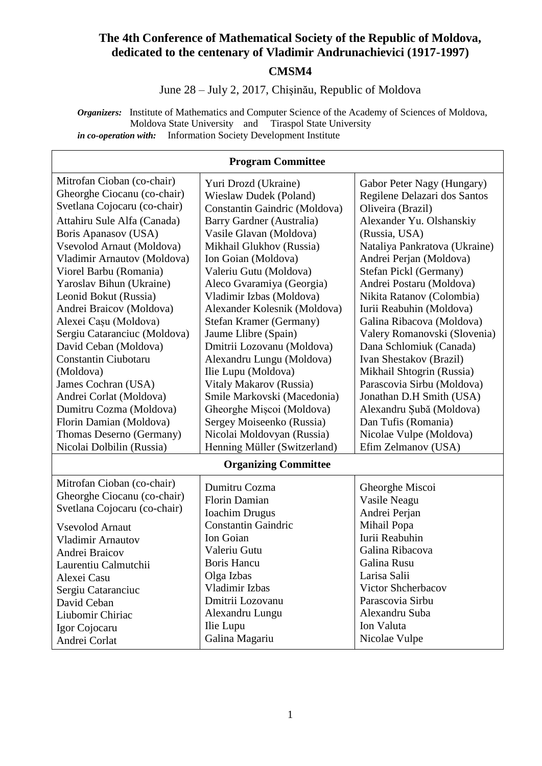#### **The 4th Conference of Mathematical Society of the Republic of Moldova, dedicated to the centenary of Vladimir Andrunachievici (1917-1997) CMSM4**

#### June 28 – July 2, 2017, Chişinău, Republic of Moldova

*Organizers:* Institute of Mathematics and Computer Science of the Academy of Sciences of Moldova, Moldova State University and Tiraspol State University *in co-operation with:* Information Society Development Institute

|                                                           | <b>Program Committee</b>                              |                                                            |
|-----------------------------------------------------------|-------------------------------------------------------|------------------------------------------------------------|
| Mitrofan Cioban (co-chair)<br>Gheorghe Ciocanu (co-chair) | Yuri Drozd (Ukraine)<br><b>Wieslaw Dudek (Poland)</b> | Gabor Peter Nagy (Hungary)<br>Regilene Delazari dos Santos |
| Svetlana Cojocaru (co-chair)                              | Constantin Gaindric (Moldova)                         | Oliveira (Brazil)                                          |
| Attahiru Sule Alfa (Canada)                               | Barry Gardner (Australia)                             | Alexander Yu. Olshanskiy                                   |
| Boris Apanasov (USA)                                      | Vasile Glavan (Moldova)                               | (Russia, USA)                                              |
| Vsevolod Arnaut (Moldova)                                 | Mikhail Glukhov (Russia)                              | Nataliya Pankratova (Ukraine)                              |
| Vladimir Arnautov (Moldova)                               | Ion Goian (Moldova)                                   | Andrei Perjan (Moldova)                                    |
| Viorel Barbu (Romania)                                    | Valeriu Gutu (Moldova)                                | Stefan Pickl (Germany)                                     |
| Yaroslav Bihun (Ukraine)                                  | Aleco Gvaramiya (Georgia)                             | Andrei Postaru (Moldova)                                   |
| Leonid Bokut (Russia)                                     | Vladimir Izbas (Moldova)                              | Nikita Ratanov (Colombia)                                  |
| Andrei Braicov (Moldova)                                  | Alexander Kolesnik (Moldova)                          | Iurii Reabuhin (Moldova)                                   |
| Alexei Cașu (Moldova)                                     | Stefan Kramer (Germany)                               | Galina Ribacova (Moldova)                                  |
| Sergiu Cataranciuc (Moldova)                              | Jaume Llibre (Spain)                                  | Valery Romanovski (Slovenia)                               |
| David Ceban (Moldova)                                     | Dmitrii Lozovanu (Moldova)                            | Dana Schlomiuk (Canada)                                    |
| <b>Constantin Ciubotaru</b>                               | Alexandru Lungu (Moldova)                             | Ivan Shestakov (Brazil)                                    |
| (Moldova)                                                 | Ilie Lupu (Moldova)                                   | Mikhail Shtogrin (Russia)                                  |
| James Cochran (USA)                                       | Vitaly Makarov (Russia)                               | Parascovia Sirbu (Moldova)                                 |
| Andrei Corlat (Moldova)                                   | Smile Markovski (Macedonia)                           | Jonathan D.H Smith (USA)                                   |
| Dumitru Cozma (Moldova)                                   | Gheorghe Mișcoi (Moldova)                             | Alexandru Şubă (Moldova)                                   |
| Florin Damian (Moldova)                                   | Sergey Moiseenko (Russia)                             | Dan Tufis (Romania)                                        |
| Thomas Deserno (Germany)                                  | Nicolai Moldovyan (Russia)                            | Nicolae Vulpe (Moldova)                                    |
| Nicolai Dolbilin (Russia)                                 | Henning Müller (Switzerland)                          | Efim Zelmanov (USA)                                        |
| <b>Organizing Committee</b>                               |                                                       |                                                            |
| Mitrofan Cioban (co-chair)                                | Dumitru Cozma                                         | Gheorghe Miscoi                                            |
| Gheorghe Ciocanu (co-chair)                               | Florin Damian                                         | Vasile Neagu                                               |
| Svetlana Cojocaru (co-chair)                              | <b>Ioachim Drugus</b>                                 | Andrei Perjan                                              |
| <b>Vsevolod Arnaut</b>                                    | <b>Constantin Gaindric</b>                            | Mihail Popa                                                |
| <b>Vladimir Arnautov</b>                                  | Ion Goian                                             | Iurii Reabuhin                                             |
| Andrei Braicov                                            | Valeriu Gutu                                          | Galina Ribacova                                            |
| Laurentiu Calmutchii                                      | <b>Boris Hancu</b>                                    | Galina Rusu                                                |
| Alexei Casu                                               | Olga Izbas                                            | Larisa Salii                                               |
| Sergiu Cataranciuc                                        | Vladimir Izbas                                        | Victor Shcherbacov                                         |
| David Ceban                                               | Dmitrii Lozovanu                                      | Parascovia Sirbu                                           |
| Liubomir Chiriac                                          | Alexandru Lungu                                       | Alexandru Suba                                             |
| Igor Cojocaru                                             | Ilie Lupu                                             | Ion Valuta                                                 |
| Andrei Corlat                                             | Galina Magariu                                        | Nicolae Vulpe                                              |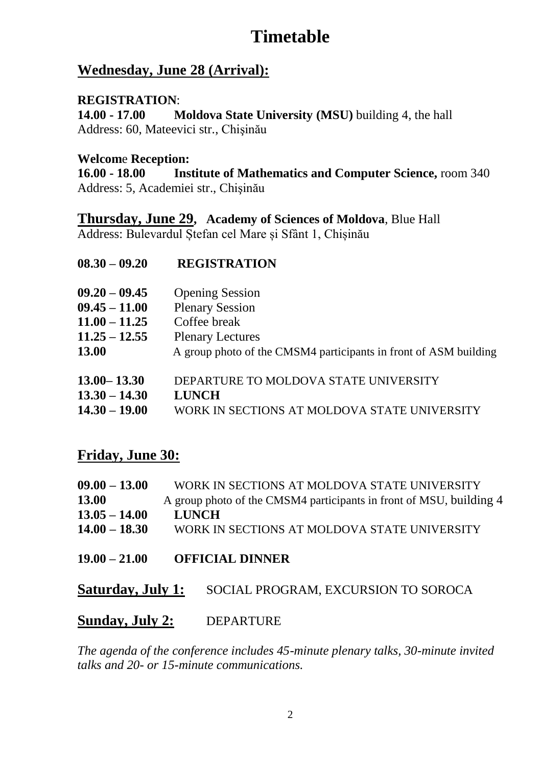# **Timetable**

## **Wednesday, June 28 (Arrival):**

#### **REGISTRATION**:

**14.00 - 17.00 Moldova State University (MSU)** building 4, the hall Address: 60, Mateevici str., Chişinău

#### **Welcom**e **Reception:**

**16.00 - 18.00 Institute of Mathematics and Computer Science,** room 340 Address: 5, Academiei str., Chişinău

#### **Thursday, June 29, Academy of Sciences of Moldova**, Blue Hall

Address: Bulevardul Ștefan cel Mare și Sfânt 1, Chișinău

| $08.30 - 09.20$ | <b>REGISTRATION</b>                                              |
|-----------------|------------------------------------------------------------------|
| $09.20 - 09.45$ | <b>Opening Session</b>                                           |
| $09.45 - 11.00$ | <b>Plenary Session</b>                                           |
| $11.00 - 11.25$ | Coffee break                                                     |
| $11.25 - 12.55$ | <b>Plenary Lectures</b>                                          |
| 13.00           | A group photo of the CMSM4 participants in front of ASM building |
| $13.00 - 13.30$ | DEPARTURE TO MOLDOVA STATE UNIVERSITY                            |
| $13.30 - 14.30$ | <b>LUNCH</b>                                                     |
| $14.30 - 19.00$ | WORK IN SECTIONS AT MOLDOVA STATE UNIVERSITY                     |

### **Friday, June 30:**

| $09.00 - 13.00$ | WORK IN SECTIONS AT MOLDOVA STATE UNIVERSITY                        |
|-----------------|---------------------------------------------------------------------|
| 13.00           | A group photo of the CMSM4 participants in front of MSU, building 4 |
| $13.05 - 14.00$ | <b>LUNCH</b>                                                        |
| $14.00 - 18.30$ | WORK IN SECTIONS AT MOLDOVA STATE UNIVERSITY                        |
|                 |                                                                     |

#### **19.00 – 21.00 OFFICIAL DINNER**

**Saturday, July 1:** SOCIAL PROGRAM, EXCURSION TO SOROCA

#### **Sunday, July 2:** DEPARTURE

*The agenda of the conference includes 45-minute plenary talks, 30-minute invited talks and 20- or 15-minute communications.*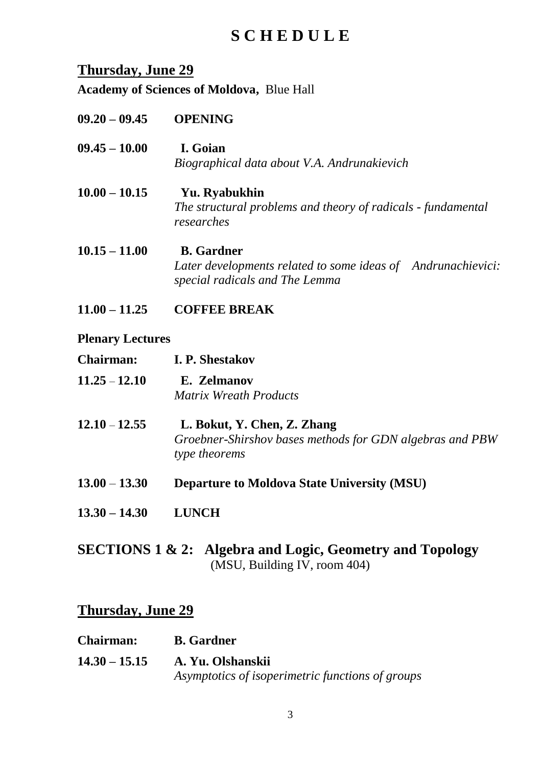# **S C H E D U L E**

## **Thursday, June 29**

**Academy of Sciences of Moldova,** Blue Hall

| $09.20 - 09.45$ | <b>OPENING</b>                                                             |
|-----------------|----------------------------------------------------------------------------|
| $09.45 - 10.00$ | I. Goian                                                                   |
|                 | Biographical data about V.A. Andrunakievich                                |
| $10.00 - 10.15$ | Yu. Ryabukhin                                                              |
|                 | The structural problems and theory of radicals - fundamental<br>researches |
| $10.15 - 11.00$ | <b>B.</b> Gardner                                                          |
|                 | Later developments related to some ideas of Andrunachievici:               |
|                 | special radicals and The Lemma                                             |

**11.00 – 11.25 COFFEE BREAK**

#### **Plenary Lectures**

- **Chairman: I. P. Shestakov 11.25** – **12.10 E. Zelmanov**  *Matrix Wreath Products*
- **12.10 12.55 L. Bokut, Y. Chen, Z. Zhang** *Groebner-Shirshov bases methods for GDN algebras and PBW type theorems*
- **13.00 13.30 Departure to Moldova State University (MSU)**
- **13.30 – 14.30 LUNCH**
- **SECTIONS 1 & 2: Algebra and Logic, Geometry and Topology**  (MSU, Building IV, room 404)

#### **Thursday, June 29**

| <b>Chairman:</b> | <b>B.</b> Gardner                                |
|------------------|--------------------------------------------------|
| $14.30 - 15.15$  | A. Yu. Olshanskii                                |
|                  | Asymptotics of isoperimetric functions of groups |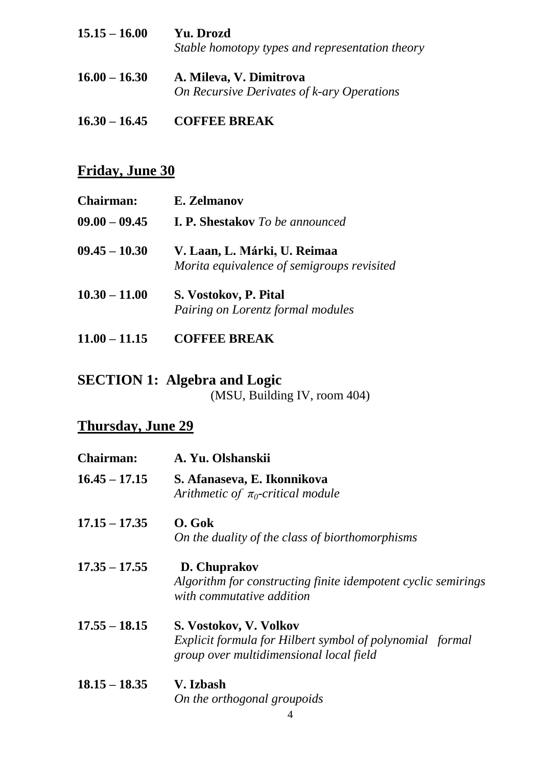| $15.15 - 16.00$ | Yu. Drozd<br>Stable homotopy types and representation theory          |
|-----------------|-----------------------------------------------------------------------|
| $16.00 - 16.30$ | A. Mileva, V. Dimitrova<br>On Recursive Derivates of k-ary Operations |

#### **16.30 – 16.45 COFFEE BREAK**

## **Friday, June 30**

| <b>Chairman:</b> | E. Zelmanov                                                                |
|------------------|----------------------------------------------------------------------------|
| $09.00 - 09.45$  | <b>I. P. Shestakov</b> To be announced                                     |
| $09.45 - 10.30$  | V. Laan, L. Márki, U. Reimaa<br>Morita equivalence of semigroups revisited |
| $10.30 - 11.00$  | S. Vostokov, P. Pital<br>Pairing on Lorentz formal modules                 |
| $11.00 - 11.15$  | <b>COFFEE BREAK</b>                                                        |

# **SECTION 1: Algebra and Logic**

(MSU, Building IV, room 404)

## **Thursday, June 29**

| <b>Chairman:</b> | A. Yu. Olshanskii                                                                                                             |
|------------------|-------------------------------------------------------------------------------------------------------------------------------|
| $16.45 - 17.15$  | S. Afanaseva, E. Ikonnikova<br>Arithmetic of $\pi_0$ -critical module                                                         |
| $17.15 - 17.35$  | O. Gok<br>On the duality of the class of biorthomorphisms                                                                     |
| $17.35 - 17.55$  | D. Chuprakov<br>Algorithm for constructing finite idempotent cyclic semirings<br>with commutative addition                    |
| $17.55 - 18.15$  | S. Vostokov, V. Volkov<br>Explicit formula for Hilbert symbol of polynomial formal<br>group over multidimensional local field |
| $18.15 - 18.35$  | V. Izbash                                                                                                                     |

*On the orthogonal groupoids*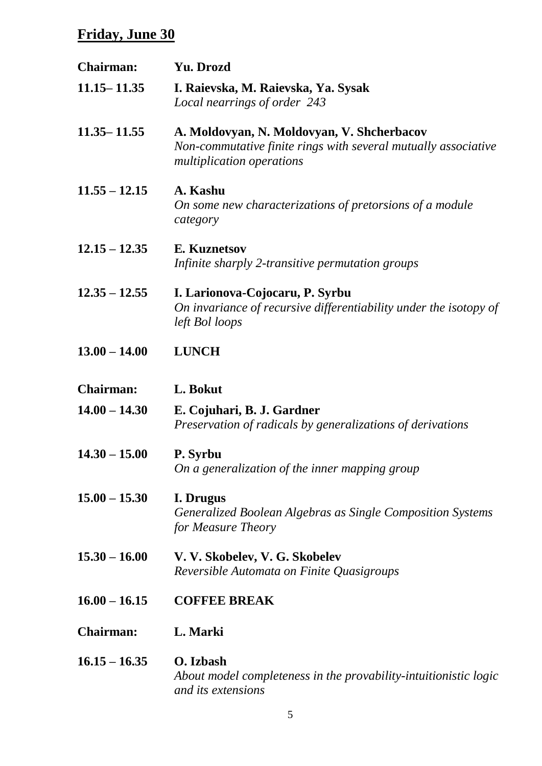| <b>Chairman:</b> | Yu. Drozd                                                                                                                                 |
|------------------|-------------------------------------------------------------------------------------------------------------------------------------------|
| $11.15 - 11.35$  | I. Raievska, M. Raievska, Ya. Sysak<br>Local nearrings of order 243                                                                       |
| $11.35 - 11.55$  | A. Moldovyan, N. Moldovyan, V. Shcherbacov<br>Non-commutative finite rings with several mutually associative<br>multiplication operations |
| $11.55 - 12.15$  | A. Kashu<br>On some new characterizations of pretorsions of a module<br>category                                                          |
| $12.15 - 12.35$  | E. Kuznetsov<br>Infinite sharply 2-transitive permutation groups                                                                          |
| $12.35 - 12.55$  | I. Larionova-Cojocaru, P. Syrbu<br>On invariance of recursive differentiability under the isotopy of<br>left Bol loops                    |
| $13.00 - 14.00$  | <b>LUNCH</b>                                                                                                                              |
| <b>Chairman:</b> | L. Bokut                                                                                                                                  |
| $14.00 - 14.30$  | E. Cojuhari, B. J. Gardner<br>Preservation of radicals by generalizations of derivations                                                  |
| $14.30 - 15.00$  | P. Syrbu<br>On a generalization of the inner mapping group                                                                                |
| $15.00 - 15.30$  | I. Drugus<br>Generalized Boolean Algebras as Single Composition Systems<br>for Measure Theory                                             |
| $15.30 - 16.00$  | V. V. Skobelev, V. G. Skobelev<br>Reversible Automata on Finite Quasigroups                                                               |
| $16.00 - 16.15$  | <b>COFFEE BREAK</b>                                                                                                                       |
| <b>Chairman:</b> | L. Marki                                                                                                                                  |
| $16.15 - 16.35$  | O. Izbash<br>About model completeness in the provability-intuitionistic logic<br>and its extensions                                       |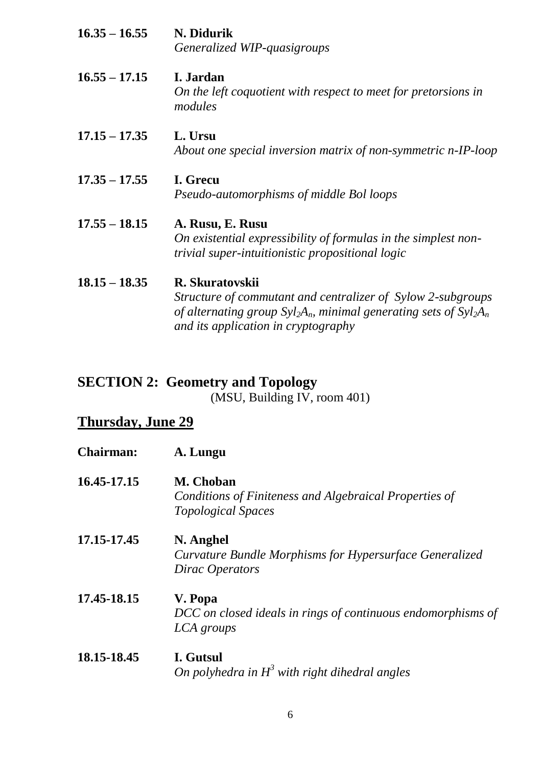| $16.35 - 16.55$ | N. Didurik                                                                                                                             |
|-----------------|----------------------------------------------------------------------------------------------------------------------------------------|
|                 | Generalized WIP-quasigroups                                                                                                            |
| $16.55 - 17.15$ | I. Jardan<br>On the left coquotient with respect to meet for pretorsions in<br>modules                                                 |
| $17.15 - 17.35$ | L. Ursu<br>About one special inversion matrix of non-symmetric n-IP-loop                                                               |
| $17.35 - 17.55$ | I. Grecu<br>Pseudo-automorphisms of middle Bol loops                                                                                   |
| $17.55 - 18.15$ | A. Rusu, E. Rusu<br>On existential expressibility of formulas in the simplest non-<br>trivial super-intuitionistic propositional logic |
| $18.15 - 18.35$ | R. Skuratovskii<br>Structure of commutant and centralizer of Sylow 2-subgroups                                                         |

*of alternating group Syl2An, minimal generating sets of Syl2A<sup>n</sup> and its application in cryptography* 

# **SECTION 2: Geometry and Topology**

 $(MSU, Building IV, room 401)$ 

## **Thursday, June 29**

| <b>Chairman:</b> | A. Lungu                                                                            |
|------------------|-------------------------------------------------------------------------------------|
| 16.45-17.15      | M. Choban                                                                           |
|                  | Conditions of Finiteness and Algebraical Properties of<br><b>Topological Spaces</b> |
| 17.15-17.45      | N. Anghel                                                                           |
|                  | Curvature Bundle Morphisms for Hypersurface Generalized<br>Dirac Operators          |
| 17.45-18.15      | V. Popa                                                                             |
|                  | DCC on closed ideals in rings of continuous endomorphisms of                        |
|                  | LCA groups                                                                          |
| 18.15-18.45      | I. Gutsul                                                                           |
|                  | On polyhedra in $H^3$ with right dihedral angles                                    |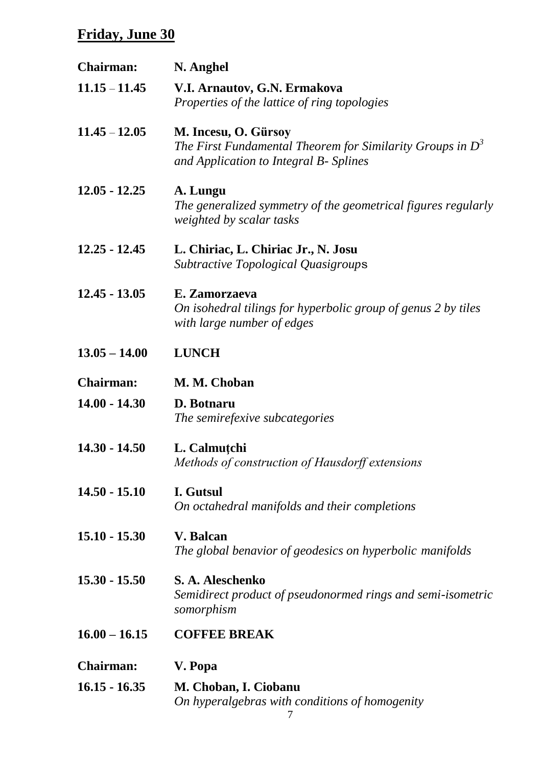| <b>Chairman:</b> | N. Anghel                                                                                                                      |
|------------------|--------------------------------------------------------------------------------------------------------------------------------|
| $11.15 - 11.45$  | V.I. Arnautov, G.N. Ermakova<br>Properties of the lattice of ring topologies                                                   |
| $11.45 - 12.05$  | M. Incesu, O. Gürsoy<br>The First Fundamental Theorem for Similarity Groups in $D^3$<br>and Application to Integral B- Splines |
| $12.05 - 12.25$  | A. Lungu<br>The generalized symmetry of the geometrical figures regularly<br>weighted by scalar tasks                          |
| $12.25 - 12.45$  | L. Chiriac, L. Chiriac Jr., N. Josu<br><b>Subtractive Topological Quasigroups</b>                                              |
| $12.45 - 13.05$  | E. Zamorzaeva<br>On isohedral tilings for hyperbolic group of genus 2 by tiles<br>with large number of edges                   |
| $13.05 - 14.00$  | <b>LUNCH</b>                                                                                                                   |
| <b>Chairman:</b> | M. M. Choban                                                                                                                   |
| $14.00 - 14.30$  | D. Botnaru<br>The semirefexive subcategories                                                                                   |
| $14.30 - 14.50$  | L. Calmuțchi<br>Methods of construction of Hausdorff extensions                                                                |
| $14.50 - 15.10$  | I. Gutsul<br>On octahedral manifolds and their completions                                                                     |
| $15.10 - 15.30$  | <b>V.</b> Balcan<br>The global benavior of geodesics on hyperbolic manifolds                                                   |
| $15.30 - 15.50$  | S. A. Aleschenko<br>Semidirect product of pseudonormed rings and semi-isometric<br>somorphism                                  |
| $16.00 - 16.15$  | <b>COFFEE BREAK</b>                                                                                                            |
| <b>Chairman:</b> | V. Popa                                                                                                                        |
| $16.15 - 16.35$  | M. Choban, I. Ciobanu<br>On hyperalgebras with conditions of homogenity                                                        |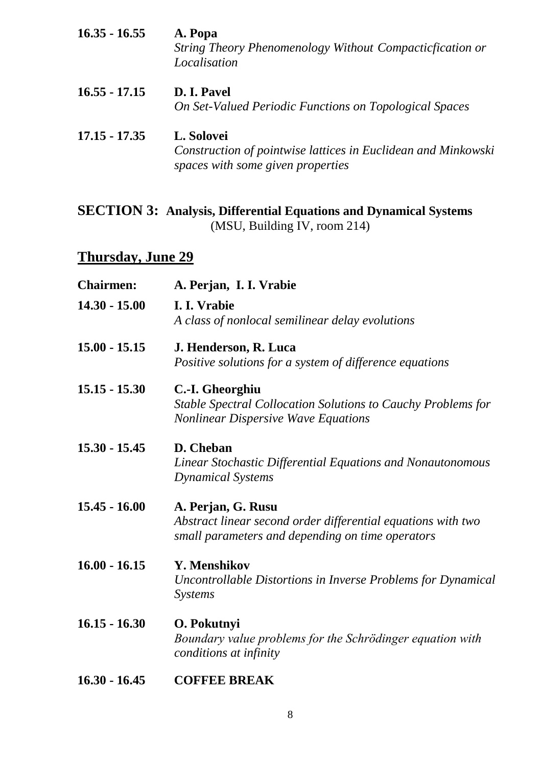- **16.35 - 16.55 A. Popa** *String Theory Phenomenology Without Compacticfication or Localisation* **16.55 - 17.15 D. I. Pavel** *On Set-Valued Periodic Functions on Topological Spaces*
- **17.15 - 17.35 L. Solovei** *Construction of pointwise lattices in Euclidean and Minkowski spaces with some given properties*

#### **SECTION 3: Analysis, Differential Equations and Dynamical Systems** (MSU, Building IV, room 214)

## **Thursday, June 29**

| <b>Chairmen:</b> | A. Perjan, I. I. Vrabie                                                                                                                |
|------------------|----------------------------------------------------------------------------------------------------------------------------------------|
| $14.30 - 15.00$  | I. I. Vrabie<br>A class of nonlocal semilinear delay evolutions                                                                        |
| $15.00 - 15.15$  | J. Henderson, R. Luca<br>Positive solutions for a system of difference equations                                                       |
| $15.15 - 15.30$  | C.-I. Gheorghiu<br><b>Stable Spectral Collocation Solutions to Cauchy Problems for</b><br><b>Nonlinear Dispersive Wave Equations</b>   |
| $15.30 - 15.45$  | D. Cheban<br>Linear Stochastic Differential Equations and Nonautonomous<br><b>Dynamical Systems</b>                                    |
| $15.45 - 16.00$  | A. Perjan, G. Rusu<br>Abstract linear second order differential equations with two<br>small parameters and depending on time operators |
| $16.00 - 16.15$  | Y. Menshikov<br>Uncontrollable Distortions in Inverse Problems for Dynamical<br><b>Systems</b>                                         |
| $16.15 - 16.30$  | O. Pokutnyi<br>Boundary value problems for the Schrödinger equation with<br>conditions at infinity                                     |

**16.30 - 16.45 COFFEE BREAK**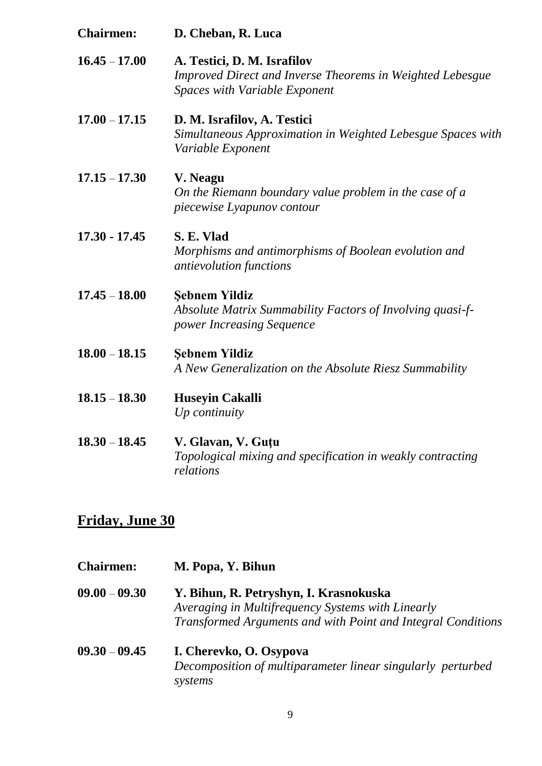| <b>Chairmen:</b> | D. Cheban, R. Luca                                                                                                        |
|------------------|---------------------------------------------------------------------------------------------------------------------------|
| $16.45 - 17.00$  | A. Testici, D. M. Israfilov<br>Improved Direct and Inverse Theorems in Weighted Lebesgue<br>Spaces with Variable Exponent |
| $17.00 - 17.15$  | D. M. Israfilov, A. Testici<br>Simultaneous Approximation in Weighted Lebesgue Spaces with<br>Variable Exponent           |
| $17.15 - 17.30$  | V. Neagu<br>On the Riemann boundary value problem in the case of a<br>piecewise Lyapunov contour                          |
| $17.30 - 17.45$  | S. E. Vlad<br>Morphisms and antimorphisms of Boolean evolution and<br>antievolution functions                             |
| $17.45 - 18.00$  | <b>Şebnem Yildiz</b><br>Absolute Matrix Summability Factors of Involving quasi-f-<br>power Increasing Sequence            |
| $18.00 - 18.15$  | <b>Şebnem Yildiz</b><br>A New Generalization on the Absolute Riesz Summability                                            |
| $18.15 - 18.30$  | <b>Huseyin Cakalli</b><br>$Up$ continuity                                                                                 |
| $18.30 - 18.45$  | V. Glavan, V. Guțu<br>Topological mixing and specification in weakly contracting<br>relations                             |

| <b>Chairmen:</b> | M. Popa, Y. Bihun                                            |
|------------------|--------------------------------------------------------------|
| $09.00 - 09.30$  | Y. Bihun, R. Petryshyn, I. Krasnokuska                       |
|                  | Averaging in Multifrequency Systems with Linearly            |
|                  | Transformed Arguments and with Point and Integral Conditions |
| $09.30 - 09.45$  | I. Cherevko, O. Osypova                                      |
|                  | Decomposition of multiparameter linear singularly perturbed  |
|                  | systems                                                      |
|                  |                                                              |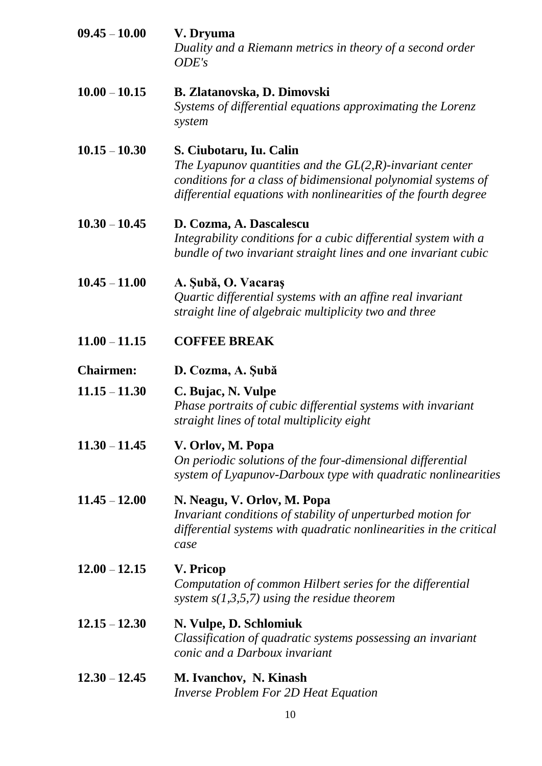**09.45** – **10.00 V. Dryuma** *Duality and a Riemann metrics in theory of a second order ODE's* **10.00** – **10.15 B. Zlatanovska, D. Dimovski** *Systems of differential equations approximating the Lorenz system* **10.15** – **10.30 S. Ciubotaru, Iu. Calin** *The Lyapunov quantities and the GL(2,R)-invariant center conditions for a class of bidimensional polynomial systems of differential equations with nonlinearities of the fourth degree* **10.30** – **10.45 D. Cozma, A. Dascalescu** *Integrability conditions for a cubic differential system with a bundle of two invariant straight lines and one invariant cubic* **10.45** – **11.00 A. Şubă, O. Vacaraş**  *Quartic differential systems with an affine real invariant straight line of algebraic multiplicity two and three* **11.00** – **11.15 COFFEE BREAK Chairmen: D. Cozma, A. Şubă Chairmen: 11.15** – **11.30 C. Bujac, N. Vulpe** *Phase portraits of cubic differential systems with invariant straight lines of total multiplicity eight*  **11.30** – **11.45 V. Orlov, M. Popa** *On periodic solutions of the four-dimensional differential system of Lyapunov-Darboux type with quadratic nonlinearities* **11.45** – **12.00 N. Neagu, V. Orlov, M. Popa** *Invariant conditions of stability of unperturbed motion for differential systems with quadratic nonlinearities in the critical case* **12.00** – **12.15 V. Pricop** *Computation of common Hilbert series for the differential system s(1,3,5,7) using the residue theorem* **12.15** – **12.30 N. Vulpe, D. Schlomiuk** *Classification of quadratic systems possessing an invariant conic and a Darboux invariant* **12.30** – **12.45 M. Ivanchov, N. Kinash** *Inverse Problem For 2D Heat Equation*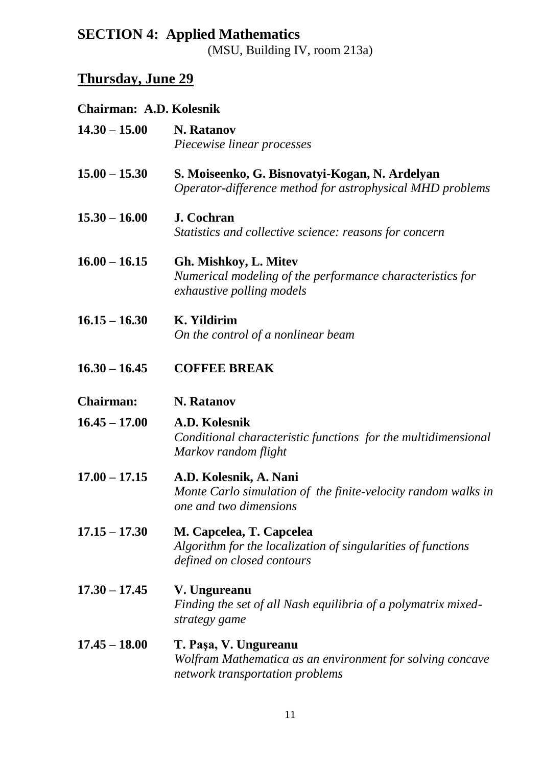## **SECTION 4: Applied Mathematics** (MSU, Building IV, room 213a)

# **Thursday, June 29**

## **Chairman: A.D. Kolesnik**

| $14.30 - 15.00$  | <b>N.</b> Ratanov<br>Piecewise linear processes                                                                        |
|------------------|------------------------------------------------------------------------------------------------------------------------|
| $15.00 - 15.30$  | S. Moiseenko, G. Bisnovatyi-Kogan, N. Ardelyan<br>Operator-difference method for astrophysical MHD problems            |
| $15.30 - 16.00$  | <b>J.</b> Cochran<br>Statistics and collective science: reasons for concern                                            |
| $16.00 - 16.15$  | Gh. Mishkoy, L. Mitev<br>Numerical modeling of the performance characteristics for<br>exhaustive polling models        |
| $16.15 - 16.30$  | K. Yildirim<br>On the control of a nonlinear beam                                                                      |
| $16.30 - 16.45$  | <b>COFFEE BREAK</b>                                                                                                    |
| <b>Chairman:</b> | <b>N.</b> Ratanov                                                                                                      |
| $16.45 - 17.00$  | A.D. Kolesnik<br>Conditional characteristic functions for the multidimensional<br>Markov random flight                 |
| $17.00 - 17.15$  | A.D. Kolesnik, A. Nani<br>Monte Carlo simulation of the finite-velocity random walks in<br>one and two dimensions      |
| $17.15 - 17.30$  | M. Capcelea, T. Capcelea<br>Algorithm for the localization of singularities of functions<br>defined on closed contours |
| $17.30 - 17.45$  | V. Ungureanu<br>Finding the set of all Nash equilibria of a polymatrix mixed-<br>strategy game                         |
| $17.45 - 18.00$  | T. Paşa, V. Ungureanu<br>Wolfram Mathematica as an environment for solving concave<br>network transportation problems  |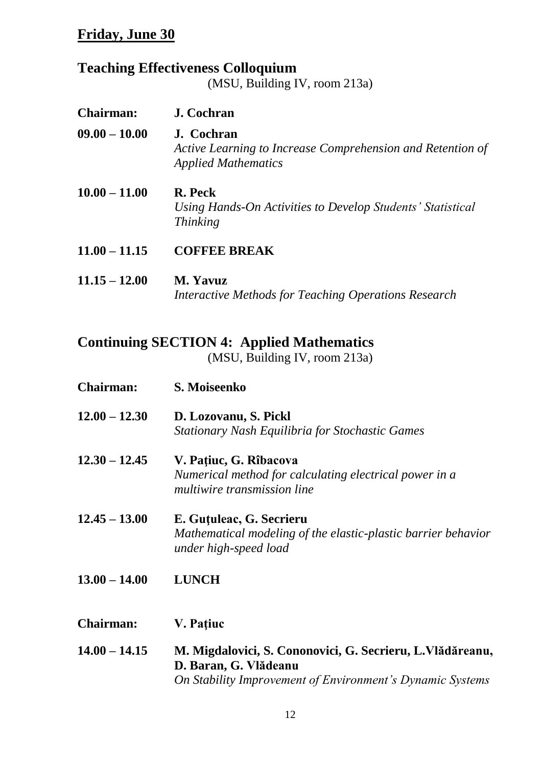# **Teaching Effectiveness Colloquium**

(MSU, Building IV, room 213a)

| <b>Chairman:</b> | J. Cochran                                                                                             |
|------------------|--------------------------------------------------------------------------------------------------------|
| $09.00 - 10.00$  | J. Cochran<br>Active Learning to Increase Comprehension and Retention of<br><b>Applied Mathematics</b> |
| $10.00 - 11.00$  | <b>R.</b> Peck<br>Using Hands-On Activities to Develop Students' Statistical<br><i>Thinking</i>        |
| $11.00 - 11.15$  | <b>COFFEE BREAK</b>                                                                                    |
| $11.15 - 12.00$  | <b>M.</b> Yavuz<br>Interactive Methods for Teaching Operations Research                                |

## **Continuing SECTION 4: Applied Mathematics**

(MSU, Building IV, room 213a)

| <b>Chairman:</b> | S. Moiseenko                                                                                                       |
|------------------|--------------------------------------------------------------------------------------------------------------------|
| $12.00 - 12.30$  | D. Lozovanu, S. Pickl<br><b>Stationary Nash Equilibria for Stochastic Games</b>                                    |
| $12.30 - 12.45$  | V. Pațiuc, G. Rîbacova<br>Numerical method for calculating electrical power in a<br>multiwire transmission line    |
| $12.45 - 13.00$  | E. Gutuleac, G. Secrieru<br>Mathematical modeling of the elastic-plastic barrier behavior<br>under high-speed load |
| $13.00 - 14.00$  | <b>LUNCH</b>                                                                                                       |
| <b>Chairman:</b> | V. Pațiuc                                                                                                          |
| $14.00 - 14.15$  | M. Migdalovici, S. Cononovici, G. Secrieru, L. Vlădăreanu,<br>D. Baran, G. Vlădeanu                                |

*On Stability Improvement of Environment's Dynamic Systems*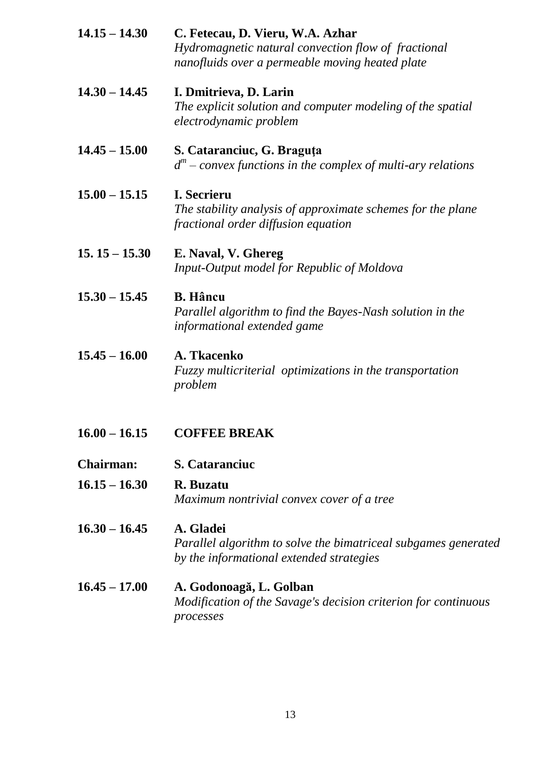| $14.15 - 14.30$  | C. Fetecau, D. Vieru, W.A. Azhar<br>Hydromagnetic natural convection flow of fractional<br>nanofluids over a permeable moving heated plate |
|------------------|--------------------------------------------------------------------------------------------------------------------------------------------|
| $14.30 - 14.45$  | I. Dmitrieva, D. Larin<br>The explicit solution and computer modeling of the spatial<br>electrodynamic problem                             |
| $14.45 - 15.00$  | S. Cataranciuc, G. Braguța<br>$d^m$ – convex functions in the complex of multi-ary relations                                               |
| $15.00 - 15.15$  | I. Secrieru<br>The stability analysis of approximate schemes for the plane<br>fractional order diffusion equation                          |
| $15.15 - 15.30$  | E. Naval, V. Ghereg<br>Input-Output model for Republic of Moldova                                                                          |
| $15.30 - 15.45$  | <b>B.</b> Hâncu<br>Parallel algorithm to find the Bayes-Nash solution in the<br>informational extended game                                |
| $15.45 - 16.00$  | A. Tkacenko<br>Fuzzy multicriterial optimizations in the transportation<br>problem                                                         |
| $16.00 - 16.15$  | <b>COFFEE BREAK</b>                                                                                                                        |
| <b>Chairman:</b> | <b>S. Cataranciuc</b>                                                                                                                      |
| $16.15 - 16.30$  | R. Buzatu<br>Maximum nontrivial convex cover of a tree                                                                                     |
| $16.30 - 16.45$  | A. Gladei<br>Parallel algorithm to solve the bimatriceal subgames generated<br>by the informational extended strategies                    |
| $16.45 - 17.00$  | A. Godonoagă, L. Golban<br>Modification of the Savage's decision criterion for continuous<br>processes                                     |
|                  |                                                                                                                                            |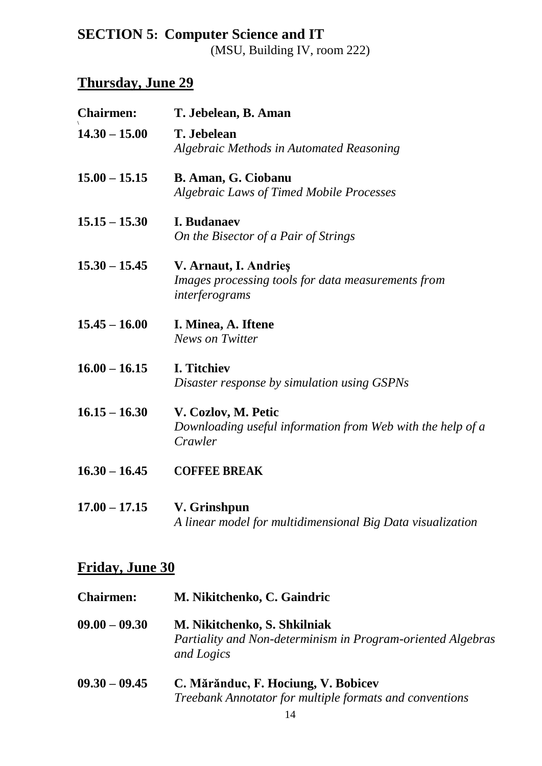# **SECTION 5: Computer Science and IT**

(MSU, Building IV, room 222)

# **Thursday, June 29**

| <b>Chairmen:</b> | T. Jebelean, B. Aman                                                                          |
|------------------|-----------------------------------------------------------------------------------------------|
| $14.30 - 15.00$  | T. Jebelean<br><b>Algebraic Methods in Automated Reasoning</b>                                |
| $15.00 - 15.15$  | <b>B. Aman, G. Ciobanu</b><br>Algebraic Laws of Timed Mobile Processes                        |
| $15.15 - 15.30$  | <b>I. Budanaev</b><br>On the Bisector of a Pair of Strings                                    |
| $15.30 - 15.45$  | V. Arnaut, I. Andries<br>Images processing tools for data measurements from<br>interferograms |
| $15.45 - 16.00$  | I. Minea, A. Iftene<br><b>News on Twitter</b>                                                 |
| $16.00 - 16.15$  | <b>I. Titchiev</b><br>Disaster response by simulation using GSPNs                             |
| $16.15 - 16.30$  | V. Cozlov, M. Petic<br>Downloading useful information from Web with the help of a<br>Crawler  |
| $16.30 - 16.45$  | <b>COFFEE BREAK</b>                                                                           |
| $17.00 - 17.15$  | V. Grinshpun<br>A linear model for multidimensional Big Data visualization                    |

# **Friday, June 30**

| <b>Chairmen:</b> | M. Nikitchenko, C. Gaindric                                                                               |
|------------------|-----------------------------------------------------------------------------------------------------------|
| $09.00 - 09.30$  | M. Nikitchenko, S. Shkilniak<br>Partiality and Non-determinism in Program-oriented Algebras<br>and Logics |
| $09.30 - 09.45$  | C. Mărănduc, F. Hociung, V. Bobicev                                                                       |

*Treebank Annotator for multiple formats and conventions*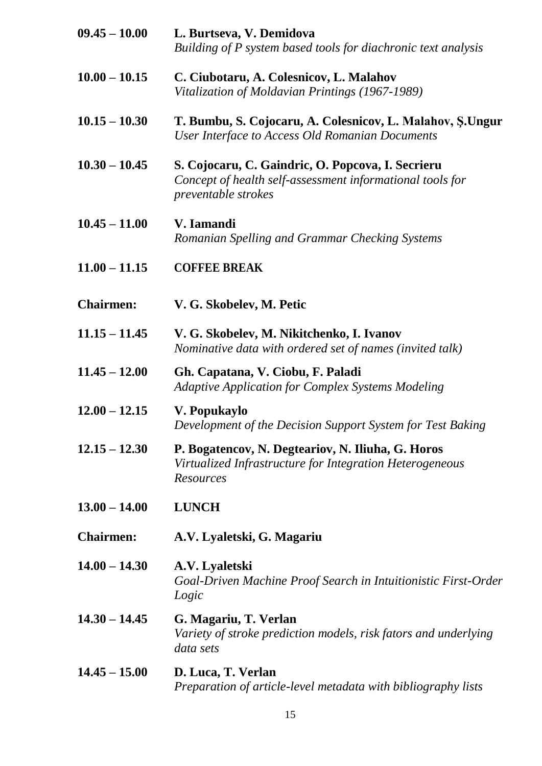| $09.45 - 10.00$  | L. Burtseva, V. Demidova<br>Building of P system based tools for diachronic text analysis                                                    |
|------------------|----------------------------------------------------------------------------------------------------------------------------------------------|
| $10.00 - 10.15$  | C. Ciubotaru, A. Colesnicov, L. Malahov<br>Vitalization of Moldavian Printings (1967-1989)                                                   |
| $10.15 - 10.30$  | T. Bumbu, S. Cojocaru, A. Colesnicov, L. Malahov, Ş. Ungur<br>User Interface to Access Old Romanian Documents                                |
| $10.30 - 10.45$  | S. Cojocaru, C. Gaindric, O. Popcova, I. Secrieru<br>Concept of health self-assessment informational tools for<br><i>preventable strokes</i> |
| $10.45 - 11.00$  | V. Iamandi<br>Romanian Spelling and Grammar Checking Systems                                                                                 |
| $11.00 - 11.15$  | <b>COFFEE BREAK</b>                                                                                                                          |
| <b>Chairmen:</b> | V. G. Skobelev, M. Petic                                                                                                                     |
| $11.15 - 11.45$  | V. G. Skobelev, M. Nikitchenko, I. Ivanov<br>Nominative data with ordered set of names (invited talk)                                        |
| $11.45 - 12.00$  | Gh. Capatana, V. Ciobu, F. Paladi<br><b>Adaptive Application for Complex Systems Modeling</b>                                                |
| $12.00 - 12.15$  | V. Popukaylo<br>Development of the Decision Support System for Test Baking                                                                   |
| $12.15 - 12.30$  | P. Bogatencov, N. Degteariov, N. Iliuha, G. Horos<br>Virtualized Infrastructure for Integration Heterogeneous<br><b>Resources</b>            |
| $13.00 - 14.00$  | <b>LUNCH</b>                                                                                                                                 |
| <b>Chairmen:</b> | A.V. Lyaletski, G. Magariu                                                                                                                   |
| $14.00 - 14.30$  | A.V. Lyaletski<br>Goal-Driven Machine Proof Search in Intuitionistic First-Order<br>Logic                                                    |
| $14.30 - 14.45$  | G. Magariu, T. Verlan<br>Variety of stroke prediction models, risk fators and underlying<br>data sets                                        |
| $14.45 - 15.00$  | D. Luca, T. Verlan<br>Preparation of article-level metadata with bibliography lists                                                          |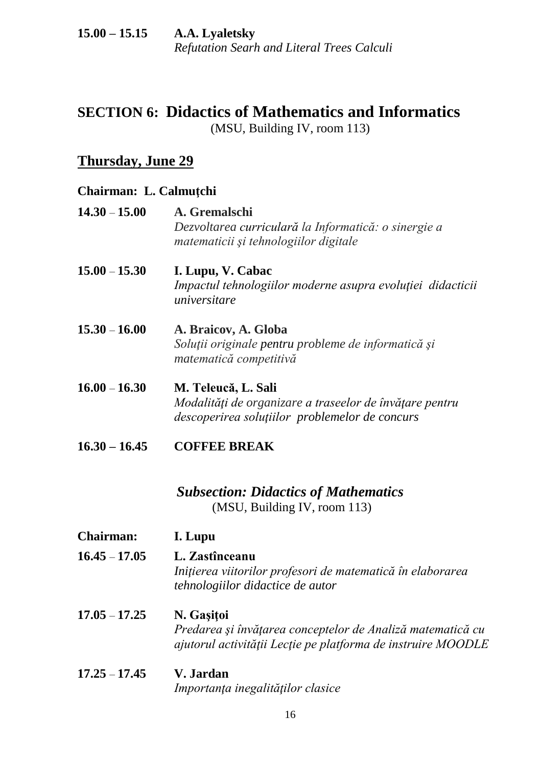#### **15.00 – 15.15 A.A. Lyaletsky** *Refutation Searh and Literal Trees Calculi*

## **SECTION 6: Didactics of Mathematics and Informatics** (MSU, Building IV, room 113)

## **Thursday, June 29**

## **Chairman: L. Calmuţchi**

| $14.30 - 15.00$  | A. Gremalschi<br>Dezvoltarea curriculară la Informatică: o sinergie a<br>matematicii și tehnologiilor digitale                           |
|------------------|------------------------------------------------------------------------------------------------------------------------------------------|
| $15.00 - 15.30$  | I. Lupu, V. Cabac<br>Impactul tehnologiilor moderne asupra evoluției didacticii<br>universitare                                          |
| $15.30 - 16.00$  | A. Braicov, A. Globa<br>Soluții originale pentru probleme de informatică și<br>matematică competitivă                                    |
| $16.00 - 16.30$  | M. Teleucă, L. Sali<br>Modalități de organizare a traseelor de învățare pentru<br>descoperirea soluțiilor problemelor de concurs         |
| $16.30 - 16.45$  | <b>COFFEE BREAK</b>                                                                                                                      |
|                  | <b>Subsection: Didactics of Mathematics</b><br>(MSU, Building IV, room 113)                                                              |
| <b>Chairman:</b> | I. Lupu                                                                                                                                  |
| $16.45 - 17.05$  | L. Zastînceanu<br>Inițierea viitorilor profesori de matematică în elaborarea<br>tehnologiilor didactice de autor                         |
| $17.05 - 17.25$  | N. Gașițoi<br>Predarea și învățarea conceptelor de Analiză matematică cu<br>ajutorul activității Lecție pe platforma de instruire MOODLE |
| $17.25 - 17.45$  | V. Jardan<br>Importanța inegalităților clasice                                                                                           |
|                  |                                                                                                                                          |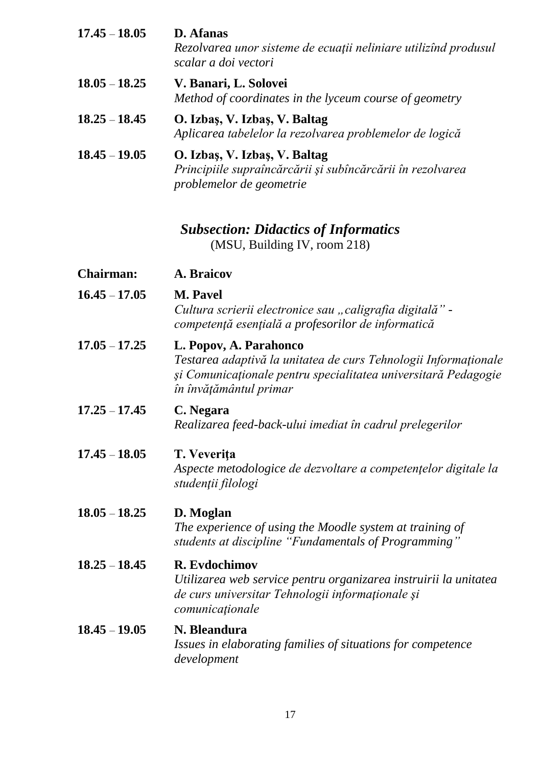| $17.45 - 18.05$  | <b>D.</b> Afanas<br>Rezolvarea unor sisteme de ecuații neliniare utilizînd produsul<br>scalar a doi vectori                                                                           |
|------------------|---------------------------------------------------------------------------------------------------------------------------------------------------------------------------------------|
| $18.05 - 18.25$  | V. Banari, L. Solovei<br>Method of coordinates in the lyceum course of geometry                                                                                                       |
| $18.25 - 18.45$  | O. Izbaş, V. Izbaş, V. Baltag<br>Aplicarea tabelelor la rezolvarea problemelor de logică                                                                                              |
| $18.45 - 19.05$  | O. Izbaş, V. Izbaş, V. Baltag<br>Principiile supraîncărcării și subîncărcării în rezolvarea<br>problemelor de geometrie                                                               |
|                  | <b>Subsection: Didactics of Informatics</b><br>(MSU, Building IV, room 218)                                                                                                           |
| <b>Chairman:</b> | A. Braicov                                                                                                                                                                            |
| $16.45 - 17.05$  | <b>M.</b> Pavel<br>Cultura scrierii electronice sau "caligrafia digitală" -<br>competență esențială a profesorilor de informatică                                                     |
| $17.05 - 17.25$  | L. Popov, A. Parahonco<br>Testarea adaptivă la unitatea de curs Tehnologii Informaționale<br>și Comunicaționale pentru specialitatea universitară Pedagogie<br>în învățământul primar |
| $17.25 - 17.45$  | C. Negara<br>Realizarea feed-back-ului imediat în cadrul prelegerilor                                                                                                                 |
| $17.45 - 18.05$  | T. Veverița<br>Aspecte metodologice de dezvoltare a competențelor digitale la<br>studenții filologi                                                                                   |
| $18.05 - 18.25$  | D. Moglan<br>The experience of using the Moodle system at training of<br>students at discipline "Fundamentals of Programming"                                                         |
| $18.25 - 18.45$  | R. Evdochimov<br>Utilizarea web service pentru organizarea instruirii la unitatea<br>de curs universitar Tehnologii informaționale și<br>comunicaționale                              |
| $18.45 - 19.05$  | N. Bleandura<br>Issues in elaborating families of situations for competence<br>development                                                                                            |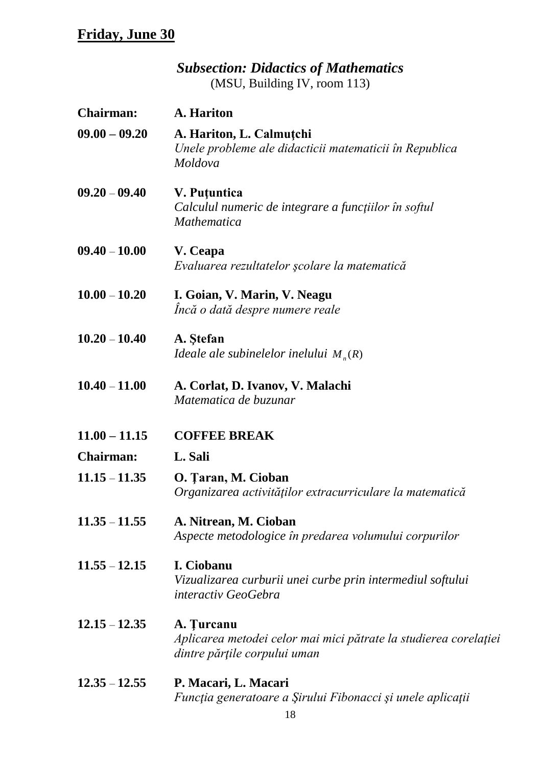*Subsection: Didactics of Mathematics* (MSU, Building IV, room 113)

| <b>Chairman:</b> | A. Hariton                                                                                                     |
|------------------|----------------------------------------------------------------------------------------------------------------|
| $09.00 - 09.20$  | A. Hariton, L. Calmutchi<br>Unele probleme ale didacticii matematicii în Republica<br>Moldova                  |
| $09.20 - 09.40$  | V. Puțuntica<br>Calculul numeric de integrare a funcțiilor în softul<br><b>Mathematica</b>                     |
| $09.40 - 10.00$  | V. Ceapa<br>Evaluarea rezultatelor școlare la matematică                                                       |
| $10.00 - 10.20$  | I. Goian, V. Marin, V. Neagu<br>Incă o dată despre numere reale                                                |
| $10.20 - 10.40$  | A. Stefan<br>Ideale ale subinelelor inelului $M_n(R)$                                                          |
| $10.40 - 11.00$  | A. Corlat, D. Ivanov, V. Malachi<br>Matematica de buzunar                                                      |
| $11.00 - 11.15$  | <b>COFFEE BREAK</b>                                                                                            |
| <b>Chairman:</b> | L. Sali                                                                                                        |
| $11.15 - 11.35$  | O. Țaran, M. Cioban<br>Organizarea activităților extracurriculare la matematică                                |
| $11.35 - 11.55$  | A. Nitrean, M. Cioban<br>Aspecte metodologice în predarea volumului corpurilor                                 |
| $11.55 - 12.15$  | I. Ciobanu<br>Vizualizarea curburii unei curbe prin intermediul softului<br>interactiv GeoGebra                |
| $12.15 - 12.35$  | A. Turcanu<br>Aplicarea metodei celor mai mici pătrate la studierea corelației<br>dintre părțile corpului uman |
| $12.35 - 12.55$  | P. Macari, L. Macari                                                                                           |

*Funcţia generatoare a Şirului Fibonacci şi unele aplicaţii*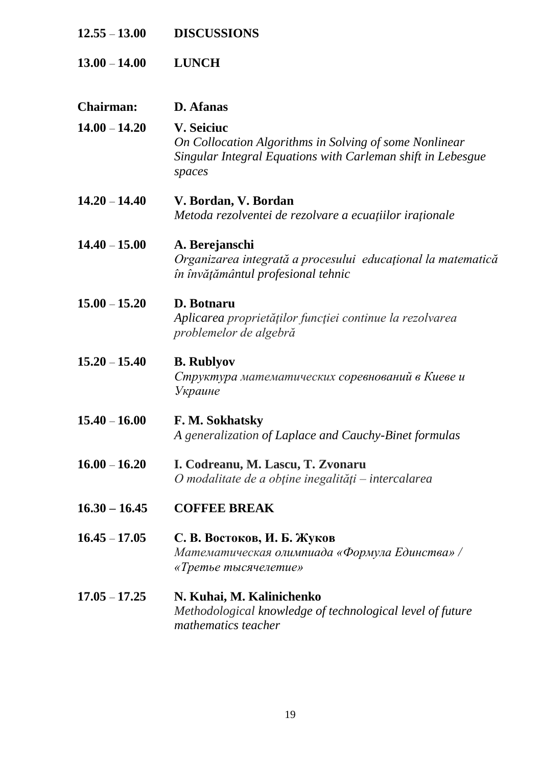| $12.55 - 13.00$  | <b>DISCUSSIONS</b>                                                                                                                                   |
|------------------|------------------------------------------------------------------------------------------------------------------------------------------------------|
| $13.00 - 14.00$  | <b>LUNCH</b>                                                                                                                                         |
| <b>Chairman:</b> | D. Afanas                                                                                                                                            |
| $14.00 - 14.20$  | <b>V. Seiciuc</b><br>On Collocation Algorithms in Solving of some Nonlinear<br>Singular Integral Equations with Carleman shift in Lebesgue<br>spaces |
| $14.20 - 14.40$  | V. Bordan, V. Bordan<br>Metoda rezolventei de rezolvare a ecuațiilor iraționale                                                                      |
| $14.40 - 15.00$  | A. Berejanschi<br>Organizarea integrată a procesului educațional la matematică<br>în învățământul profesional tehnic                                 |
| $15.00 - 15.20$  | D. Botnaru<br>Aplicarea proprietăților funcției continue la rezolvarea<br>problemelor de algebră                                                     |
| $15.20 - 15.40$  | <b>B.</b> Rublyov<br>Структура математических соревнований в Киеве и<br>Украине                                                                      |
| $15.40 - 16.00$  | F. M. Sokhatsky<br>A generalization of Laplace and Cauchy-Binet formulas                                                                             |
| $16.00 - 16.20$  | I. Codreanu, M. Lascu, T. Zvonaru<br>O modalitate de a obține inegalități – intercalarea                                                             |
| $16.30 - 16.45$  | <b>COFFEE BREAK</b>                                                                                                                                  |
| $16.45 - 17.05$  | С. В. Востоков, И. Б. Жуков<br>Математическая олимпиада «Формула Единства» /<br>«Третье тысячелетие»                                                 |
| $17.05 - 17.25$  | N. Kuhai, M. Kalinichenko<br>Methodological knowledge of technological level of future<br>mathematics teacher                                        |